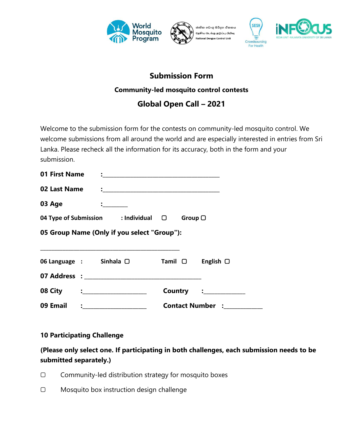





## **Submission Form**

### **Community-led mosquito control contests**

# **Global Open Call – 2021**

Welcome to the submission form for the contests on community-led mosquito control. We welcome submissions from all around the world and are especially interested in entries from Sri Lanka. Please recheck all the information for its accuracy, both in the form and your submission.

| 01 First Name                               |                                           |                |                         |  |  |
|---------------------------------------------|-------------------------------------------|----------------|-------------------------|--|--|
| 02 Last Name                                |                                           |                |                         |  |  |
| 03 Age                                      | $\mathbf{L}$ and $\mathbf{L}$             |                |                         |  |  |
|                                             | 04 Type of Submission : Individual $\Box$ |                | Group $\Box$            |  |  |
| 05 Group Name (Only if you select "Group"): |                                           |                |                         |  |  |
|                                             |                                           |                |                         |  |  |
|                                             | 06 Language : Sinhala □                   | $Tamil$ $\Box$ | English $\Box$          |  |  |
|                                             |                                           |                |                         |  |  |
| 08 City : __________________                |                                           |                | Country : ___________   |  |  |
| 09 Email                                    | $\frac{1}{2}$                             |                | <b>Contact Number :</b> |  |  |

### **10 Participating Challenge**

**(Please only select one. If participating in both challenges, each submission needs to be submitted separately.)**

- ▢ Community-led distribution strategy for mosquito boxes
- ▢ Mosquito box instruction design challenge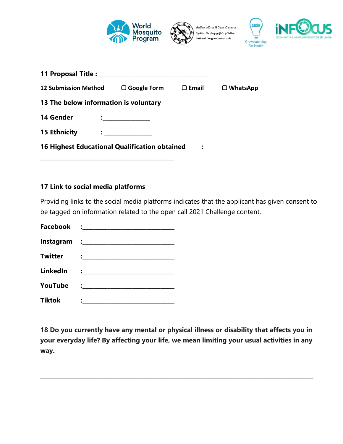

| <b>12 Submission Method</b>                          | $\Box$ Google Form | $\Box$ Email | $\Box$ WhatsApp |
|------------------------------------------------------|--------------------|--------------|-----------------|
| 13 The below information is voluntary                |                    |              |                 |
| 14 Gender                                            |                    |              |                 |
| <b>15 Ethnicity</b>                                  |                    |              |                 |
| <b>16 Highest Educational Qualification obtained</b> |                    | :            |                 |

#### **17 Link to social media platforms**

Providing links to the social media platforms indicates that the applicant has given consent to be tagged on information related to the open call 2021 Challenge content.

| <b>Twitter</b>  |                                                                                                                                                                                                                                     |
|-----------------|-------------------------------------------------------------------------------------------------------------------------------------------------------------------------------------------------------------------------------------|
| <b>LinkedIn</b> | $\ddot{\cdot}$ . The contract of the contract of the contract of the contract of the contract of the contract of the contract of the contract of the contract of the contract of the contract of the contract of the contract of th |
| YouTube         | $\ddot{\bullet}$ . The contract of the contract of $\ddot{\bullet}$                                                                                                                                                                 |
| <b>Tiktok</b>   |                                                                                                                                                                                                                                     |

**18 Do you currently have any mental or physical illness or disability that affects you in your everyday life? By affecting your life, we mean limiting your usual activities in any way.**

**\_\_\_\_\_\_\_\_\_\_\_\_\_\_\_\_\_\_\_\_\_\_\_\_\_\_\_\_\_\_\_\_\_\_\_\_\_\_\_\_\_\_\_\_\_\_\_\_\_\_\_\_\_\_\_\_\_\_\_\_\_\_\_\_\_\_\_\_\_\_\_\_\_\_\_\_\_\_\_\_\_\_\_\_\_\_\_\_\_\_\_\_\_\_\_\_\_\_**